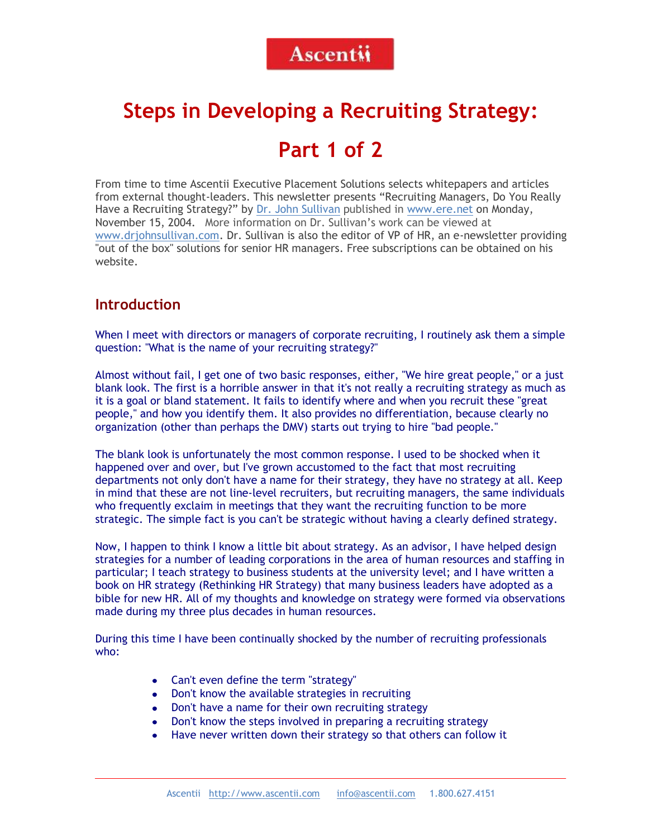# <span id="page-0-0"></span>**Steps in Developing a Recruiting Strategy:**

# **Part 1 of 2**

From time to time Ascentii Executive Placement Solutions selects whitepapers and articles from external thought-leaders. This newsletter presents "Recruiting Managers, Do You Really Have a Recruiting Strategy?" by [Dr. John Sullivan](mailto:JohnS@sfsu.edu) published in [www.ere.net](#page-0-0) on Monday, November 15, 2004. More information on Dr. Sullivan's work can be viewed at [www.drjohnsullivan.com.](http://www.drjohnsullivan.com/) Dr. Sullivan is also the editor of VP of HR, an e-newsletter providing "out of the box" solutions for senior HR managers. Free subscriptions can be obtained on his website.

#### **Introduction**

When I meet with directors or managers of corporate recruiting, I routinely ask them a simple question: "What is the name of your recruiting strategy?"

Almost without fail, I get one of two basic responses, either, "We hire great people," or a just blank look. The first is a horrible answer in that it's not really a recruiting strategy as much as it is a goal or bland statement. It fails to identify where and when you recruit these "great people," and how you identify them. It also provides no differentiation, because clearly no organization (other than perhaps the DMV) starts out trying to hire "bad people."

The blank look is unfortunately the most common response. I used to be shocked when it happened over and over, but I've grown accustomed to the fact that most recruiting departments not only don't have a name for their strategy, they have no strategy at all. Keep in mind that these are not line-level recruiters, but recruiting managers, the same individuals who frequently exclaim in meetings that they want the recruiting function to be more strategic. The simple fact is you can't be strategic without having a clearly defined strategy.

Now, I happen to think I know a little bit about strategy. As an advisor, I have helped design strategies for a number of leading corporations in the area of human resources and staffing in particular; I teach strategy to business students at the university level; and I have written a book on HR strategy (Rethinking HR Strategy) that many business leaders have adopted as a bible for new HR. All of my thoughts and knowledge on strategy were formed via observations made during my three plus decades in human resources.

During this time I have been continually shocked by the number of recruiting professionals who:

- Can't even define the term "strategy"
- Don't know the available strategies in recruiting
- Don't have a name for their own recruiting strategy  $\bullet$
- $\bullet$ Don't know the steps involved in preparing a recruiting strategy
- Have never written down their strategy so that others can follow it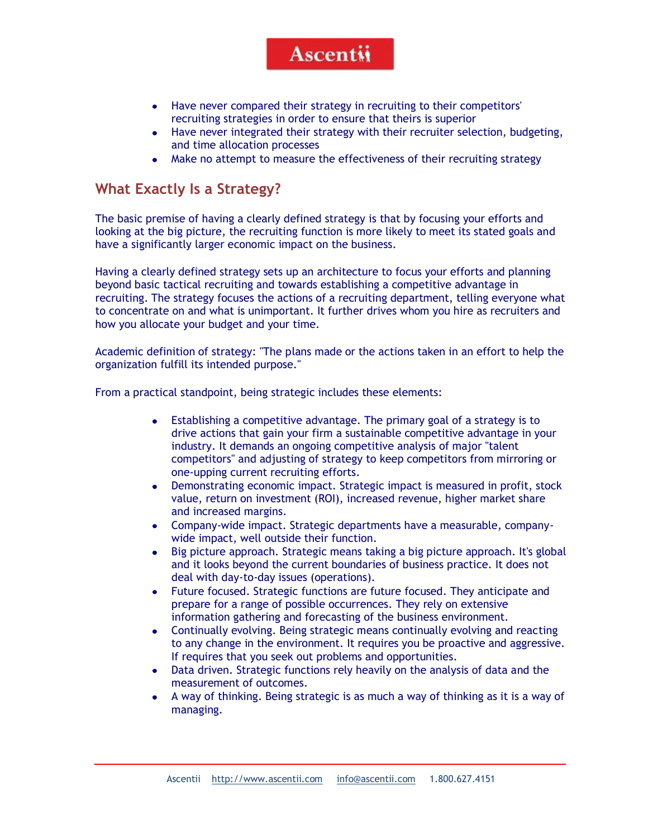- Have never compared their strategy in recruiting to their competitors'  $\bullet$ recruiting strategies in order to ensure that theirs is superior
- $\bullet$ Have never integrated their strategy with their recruiter selection, budgeting, and time allocation processes
- Make no attempt to measure the effectiveness of their recruiting strategy  $\bullet$

#### **What Exactly Is a Strategy?**

The basic premise of having a clearly defined strategy is that by focusing your efforts and looking at the big picture, the recruiting function is more likely to meet its stated goals and have a significantly larger economic impact on the business.

Having a clearly defined strategy sets up an architecture to focus your efforts and planning beyond basic tactical recruiting and towards establishing a competitive advantage in recruiting. The strategy focuses the actions of a recruiting department, telling everyone what to concentrate on and what is unimportant. It further drives whom you hire as recruiters and how you allocate your budget and your time.

Academic definition of strategy: "The plans made or the actions taken in an effort to help the organization fulfill its intended purpose."

From a practical standpoint, being strategic includes these elements:

- Establishing a competitive advantage. The primary goal of a strategy is to  $\bullet$ drive actions that gain your firm a sustainable competitive advantage in your industry. It demands an ongoing competitive analysis of major "talent competitors" and adjusting of strategy to keep competitors from mirroring or one-upping current recruiting efforts.
- Demonstrating economic impact. Strategic impact is measured in profit, stock  $\bullet$ value, return on investment (ROI), increased revenue, higher market share and increased margins.
- Company-wide impact. Strategic departments have a measurable, company- $\bullet$ wide impact, well outside their function.
- $\bullet$ Big picture approach. Strategic means taking a big picture approach. It's global and it looks beyond the current boundaries of business practice. It does not deal with day-to-day issues (operations).
- Future focused. Strategic functions are future focused. They anticipate and  $\bullet$ prepare for a range of possible occurrences. They rely on extensive information gathering and forecasting of the business environment.
- Continually evolving. Being strategic means continually evolving and reacting  $\bullet$ to any change in the environment. It requires you be proactive and aggressive. If requires that you seek out problems and opportunities.
- Data driven. Strategic functions rely heavily on the analysis of data and the  $\bullet$ measurement of outcomes.
- $\bullet$ A way of thinking. Being strategic is as much a way of thinking as it is a way of managing.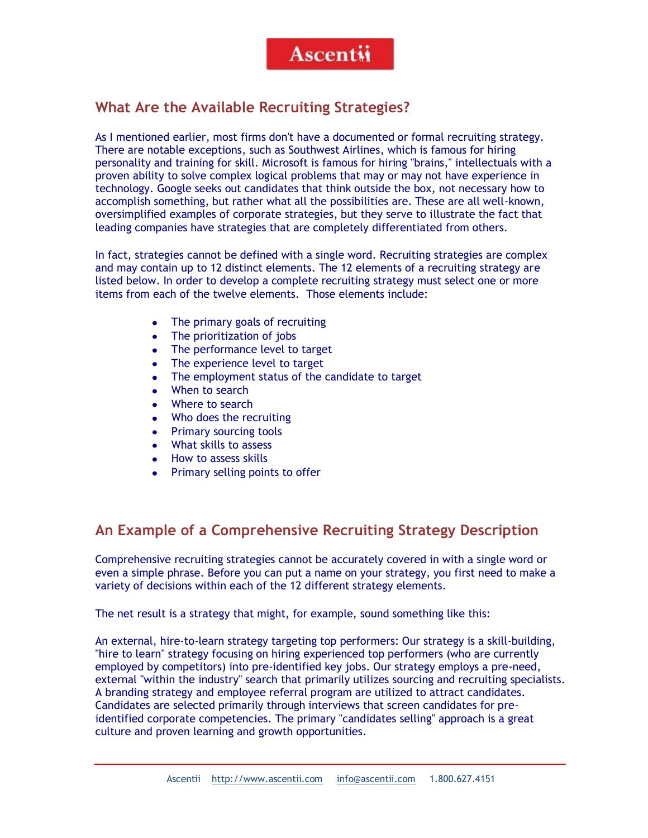#### **What Are the Available Recruiting Strategies?**

As I mentioned earlier, most firms don't have a documented or formal recruiting strategy. There are notable exceptions, such as Southwest Airlines, which is famous for hiring personality and training for skill. Microsoft is famous for hiring "brains," intellectuals with a proven ability to solve complex logical problems that may or may not have experience in technology. Google seeks out candidates that think outside the box, not necessary how to accomplish something, but rather what all the possibilities are. These are all well-known, oversimplified examples of corporate strategies, but they serve to illustrate the fact that leading companies have strategies that are completely differentiated from others.

In fact, strategies cannot be defined with a single word. Recruiting strategies are complex and may contain up to 12 distinct elements. The 12 elements of a recruiting strategy are listed below. In order to develop a complete recruiting strategy must select one or more items from each of the twelve elements. Those elements include:

- The primary goals of recruiting  $\bullet$
- The prioritization of jobs
- The performance level to target  $\bullet$
- $\bullet$ The experience level to target
- The employment status of the candidate to target
- When to search
- Where to search
- $\bullet$ Who does the recruiting
- $\bullet$ Primary sourcing tools
- What skills to assess
- How to assess skills
- Primary selling points to offer

### **An Example of a Comprehensive Recruiting Strategy Description**

Comprehensive recruiting strategies cannot be accurately covered in with a single word or even a simple phrase. Before you can put a name on your strategy, you first need to make a variety of decisions within each of the 12 different strategy elements.

The net result is a strategy that might, for example, sound something like this:

An external, hire-to-learn strategy targeting top performers: Our strategy is a skill-building, "hire to learn" strategy focusing on hiring experienced top performers (who are currently employed by competitors) into pre-identified key jobs. Our strategy employs a pre-need, external "within the industry" search that primarily utilizes sourcing and recruiting specialists. A branding strategy and employee referral program are utilized to attract candidates. Candidates are selected primarily through interviews that screen candidates for preidentified corporate competencies. The primary "candidates selling" approach is a great culture and proven learning and growth opportunities.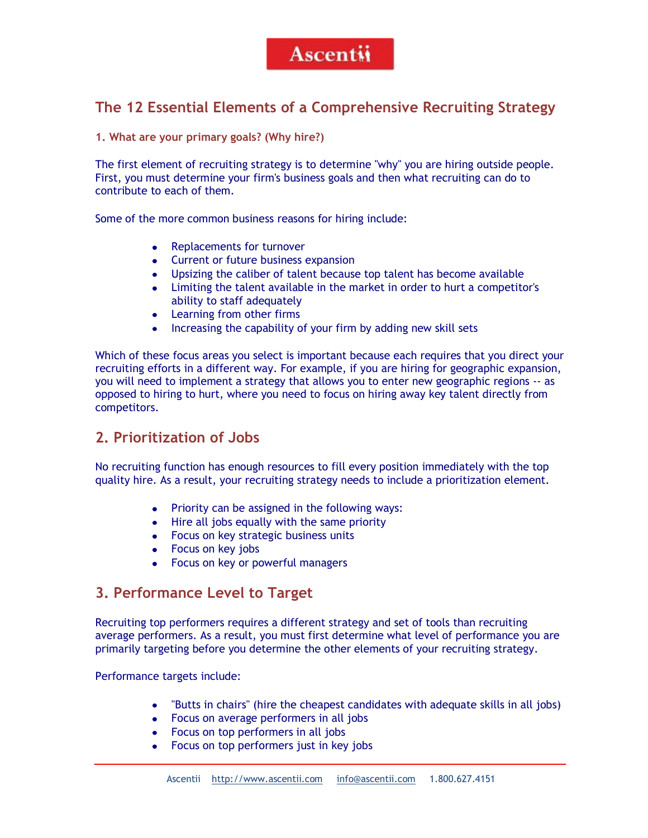### **The 12 Essential Elements of a Comprehensive Recruiting Strategy**

**1. What are your primary goals? (Why hire?)**

The first element of recruiting strategy is to determine "why" you are hiring outside people. First, you must determine your firm's business goals and then what recruiting can do to contribute to each of them.

Some of the more common business reasons for hiring include:

- Replacements for turnover
- Current or future business expansion
- Upsizing the caliber of talent because top talent has become available
- Limiting the talent available in the market in order to hurt a competitor's ability to staff adequately
- Learning from other firms
- Increasing the capability of your firm by adding new skill sets

Which of these focus areas you select is important because each requires that you direct your recruiting efforts in a different way. For example, if you are hiring for geographic expansion, you will need to implement a strategy that allows you to enter new geographic regions -- as opposed to hiring to hurt, where you need to focus on hiring away key talent directly from competitors.

#### **2. Prioritization of Jobs**

No recruiting function has enough resources to fill every position immediately with the top quality hire. As a result, your recruiting strategy needs to include a prioritization element.

- Priority can be assigned in the following ways:
- Hire all jobs equally with the same priority
- Focus on key strategic business units
- Focus on key jobs
- Focus on key or powerful managers

#### **3. Performance Level to Target**

Recruiting top performers requires a different strategy and set of tools than recruiting average performers. As a result, you must first determine what level of performance you are primarily targeting before you determine the other elements of your recruiting strategy.

Performance targets include:

- "Butts in chairs" (hire the cheapest candidates with adequate skills in all jobs)
- Focus on average performers in all jobs
- Focus on top performers in all jobs
- Focus on top performers just in key jobs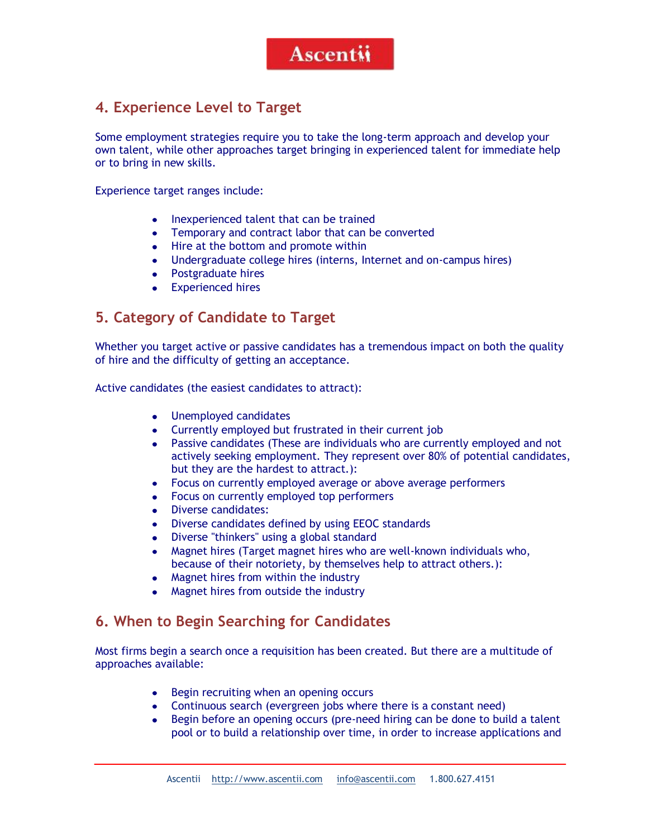### **4. Experience Level to Target**

Some employment strategies require you to take the long-term approach and develop your own talent, while other approaches target bringing in experienced talent for immediate help or to bring in new skills.

Experience target ranges include:

- Inexperienced talent that can be trained
- Temporary and contract labor that can be converted
- Hire at the bottom and promote within
- $\bullet$ Undergraduate college hires (interns, Internet and on-campus hires)
- $\bullet$ Postgraduate hires
- Experienced hires  $\bullet$

#### **5. Category of Candidate to Target**

Whether you target active or passive candidates has a tremendous impact on both the quality of hire and the difficulty of getting an acceptance.

Active candidates (the easiest candidates to attract):

- Unemployed candidates
- Currently employed but frustrated in their current job
- Passive candidates (These are individuals who are currently employed and not  $\bullet$ actively seeking employment. They represent over 80% of potential candidates, but they are the hardest to attract.):
- Focus on currently employed average or above average performers  $\bullet$
- Focus on currently employed top performers
- $\bullet$ Diverse candidates:
- Diverse candidates defined by using EEOC standards  $\bullet$
- Diverse "thinkers" using a global standard  $\bullet$
- Magnet hires (Target magnet hires who are well-known individuals who,  $\bullet$ because of their notoriety, by themselves help to attract others.):
- Magnet hires from within the industry
- Magnet hires from outside the industry

#### **6. When to Begin Searching for Candidates**

Most firms begin a search once a requisition has been created. But there are a multitude of approaches available:

- Begin recruiting when an opening occurs
- Continuous search (evergreen jobs where there is a constant need)  $\bullet$
- $\bullet$ Begin before an opening occurs (pre-need hiring can be done to build a talent pool or to build a relationship over time, in order to increase applications and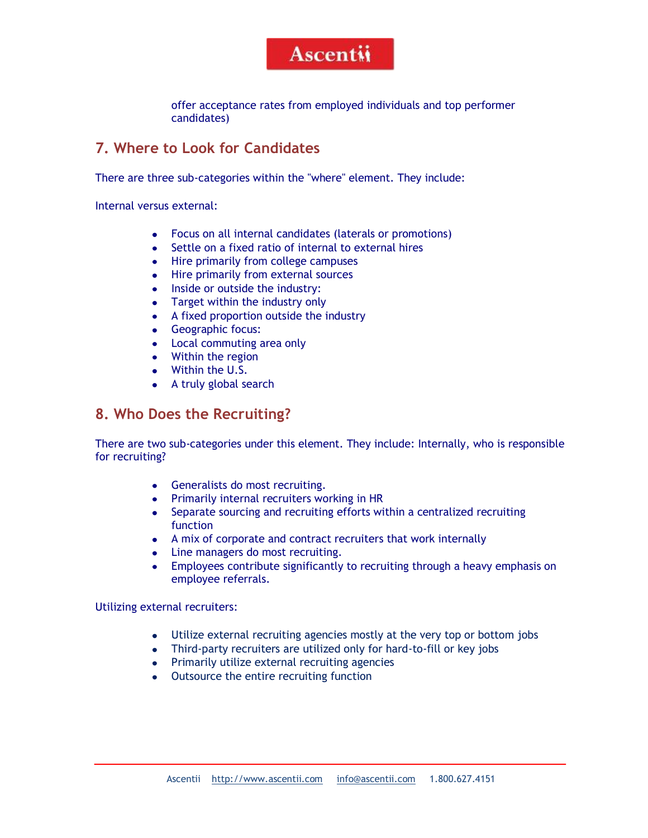offer acceptance rates from employed individuals and top performer candidates)

### **7. Where to Look for Candidates**

There are three sub-categories within the "where" element. They include:

Internal versus external:

- $\bullet$ Focus on all internal candidates (laterals or promotions)
- Settle on a fixed ratio of internal to external hires  $\bullet$
- Hire primarily from college campuses
- Hire primarily from external sources
- Inside or outside the industry:
- Target within the industry only
- A fixed proportion outside the industry  $\bullet$
- Geographic focus:
- Local commuting area only
- Within the region
- Within the U.S.
- A truly global search

#### **8. Who Does the Recruiting?**

There are two sub-categories under this element. They include: Internally, who is responsible for recruiting?

- Generalists do most recruiting.
- Primarily internal recruiters working in HR
- Separate sourcing and recruiting efforts within a centralized recruiting function
- A mix of corporate and contract recruiters that work internally
- Line managers do most recruiting.
- Employees contribute significantly to recruiting through a heavy emphasis on  $\bullet$ employee referrals.

Utilizing external recruiters:

- Utilize external recruiting agencies mostly at the very top or bottom jobs
- Third-party recruiters are utilized only for hard-to-fill or key jobs
- Primarily utilize external recruiting agencies
- Outsource the entire recruiting function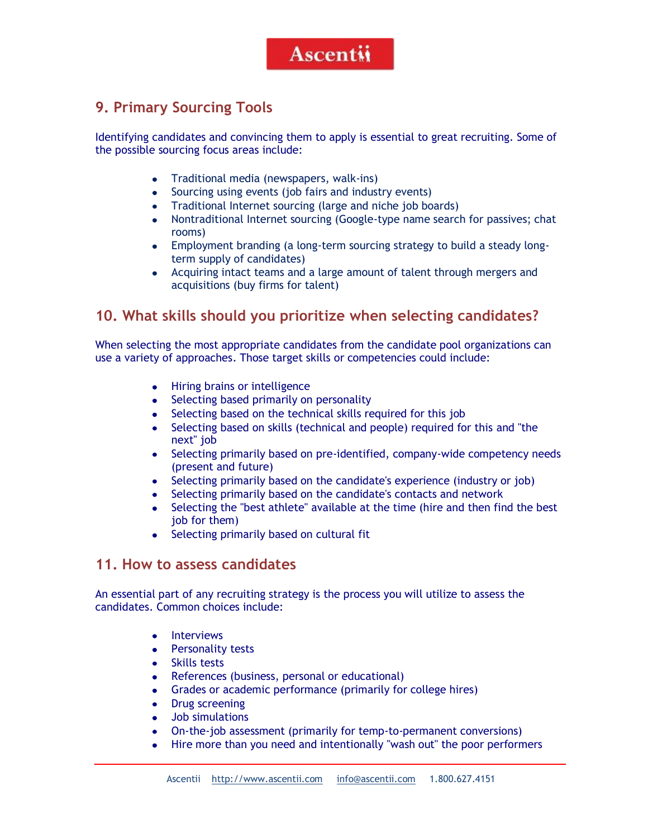### **9. Primary Sourcing Tools**

Identifying candidates and convincing them to apply is essential to great recruiting. Some of the possible sourcing focus areas include:

- Traditional media (newspapers, walk-ins)
- Sourcing using events (job fairs and industry events)  $\bullet$
- $\bullet$ Traditional Internet sourcing (large and niche job boards)
- $\bullet$ Nontraditional Internet sourcing (Google-type name search for passives; chat rooms)
- $\bullet$ Employment branding (a long-term sourcing strategy to build a steady longterm supply of candidates)
- Acquiring intact teams and a large amount of talent through mergers and acquisitions (buy firms for talent)

#### **10. What skills should you prioritize when selecting candidates?**

When selecting the most appropriate candidates from the candidate pool organizations can use a variety of approaches. Those target skills or competencies could include:

- Hiring brains or intelligence
- Selecting based primarily on personality
- $\bullet$ Selecting based on the technical skills required for this job
- $\bullet$ Selecting based on skills (technical and people) required for this and "the next" job
- Selecting primarily based on pre-identified, company-wide competency needs  $\bullet$ (present and future)
- Selecting primarily based on the candidate's experience (industry or job)  $\bullet$
- Selecting primarily based on the candidate's contacts and network  $\bullet$
- $\bullet$ Selecting the "best athlete" available at the time (hire and then find the best job for them)
- Selecting primarily based on cultural fit

#### **11. How to assess candidates**

An essential part of any recruiting strategy is the process you will utilize to assess the candidates. Common choices include:

- Interviews
- Personality tests
- $\bullet$  . Skills tests
- References (business, personal or educational)  $\bullet$
- Grades or academic performance (primarily for college hires)  $\bullet$
- $\bullet$ Drug screening
- Job simulations  $\bullet$
- $\bullet$ On-the-job assessment (primarily for temp-to-permanent conversions)
- Hire more than you need and intentionally "wash out" the poor performers  $\bullet$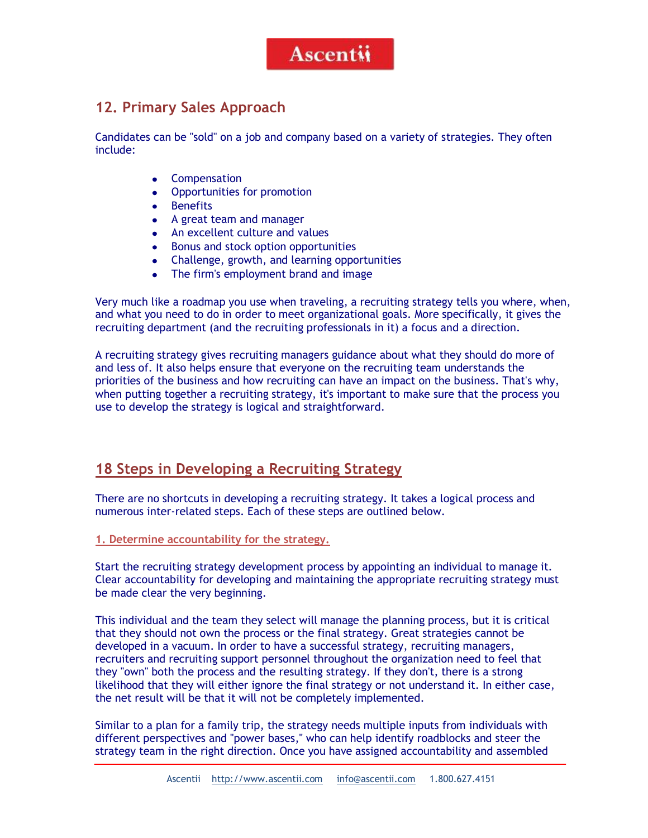### **12. Primary Sales Approach**

Candidates can be "sold" on a job and company based on a variety of strategies. They often include:

- Compensation
- Opportunities for promotion  $\bullet$
- $\bullet$ **Benefits**
- A great team and manager
- An excellent culture and values
- $\bullet$ Bonus and stock option opportunities
- Challenge, growth, and learning opportunities
- The firm's employment brand and image

Very much like a roadmap you use when traveling, a recruiting strategy tells you where, when, and what you need to do in order to meet organizational goals. More specifically, it gives the recruiting department (and the recruiting professionals in it) a focus and a direction.

A recruiting strategy gives recruiting managers guidance about what they should do more of and less of. It also helps ensure that everyone on the recruiting team understands the priorities of the business and how recruiting can have an impact on the business. That's why, when putting together a recruiting strategy, it's important to make sure that the process you use to develop the strategy is logical and straightforward.

#### **18 Steps in Developing a Recruiting Strategy**

There are no shortcuts in developing a recruiting strategy. It takes a logical process and numerous inter-related steps. Each of these steps are outlined below.

**1. Determine accountability for the strategy.**

Start the recruiting strategy development process by appointing an individual to manage it. Clear accountability for developing and maintaining the appropriate recruiting strategy must be made clear the very beginning.

This individual and the team they select will manage the planning process, but it is critical that they should not own the process or the final strategy. Great strategies cannot be developed in a vacuum. In order to have a successful strategy, recruiting managers, recruiters and recruiting support personnel throughout the organization need to feel that they "own" both the process and the resulting strategy. If they don't, there is a strong likelihood that they will either ignore the final strategy or not understand it. In either case, the net result will be that it will not be completely implemented.

Similar to a plan for a family trip, the strategy needs multiple inputs from individuals with different perspectives and "power bases," who can help identify roadblocks and steer the strategy team in the right direction. Once you have assigned accountability and assembled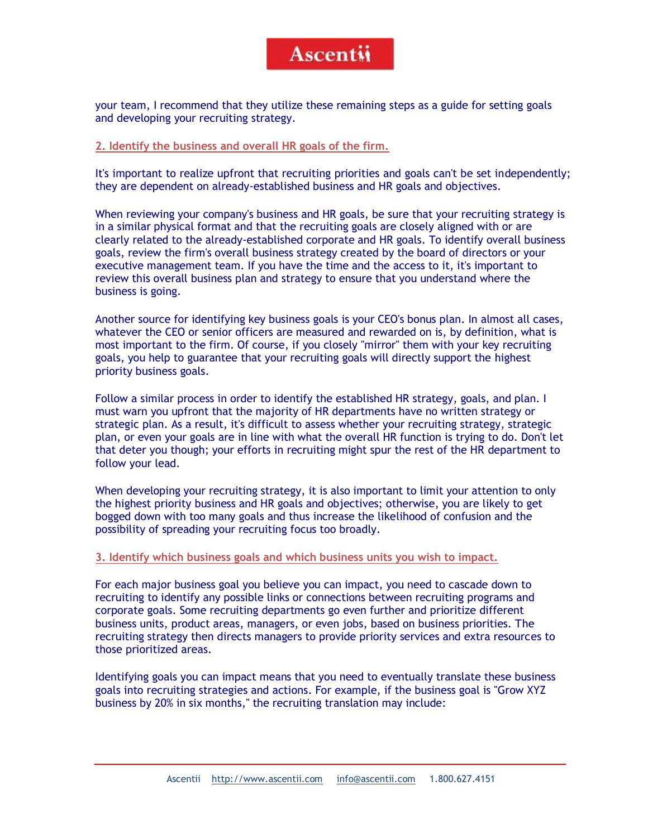your team, I recommend that they utilize these remaining steps as a guide for setting goals and developing your recruiting strategy.

#### **2. Identify the business and overall HR goals of the firm.**

It's important to realize upfront that recruiting priorities and goals can't be set independently; they are dependent on already-established business and HR goals and objectives.

When reviewing your company's business and HR goals, be sure that your recruiting strategy is in a similar physical format and that the recruiting goals are closely aligned with or are clearly related to the already-established corporate and HR goals. To identify overall business goals, review the firm's overall business strategy created by the board of directors or your executive management team. If you have the time and the access to it, it's important to review this overall business plan and strategy to ensure that you understand where the business is going.

Another source for identifying key business goals is your CEO's bonus plan. In almost all cases, whatever the CEO or senior officers are measured and rewarded on is, by definition, what is most important to the firm. Of course, if you closely "mirror" them with your key recruiting goals, you help to guarantee that your recruiting goals will directly support the highest priority business goals.

Follow a similar process in order to identify the established HR strategy, goals, and plan. I must warn you upfront that the majority of HR departments have no written strategy or strategic plan. As a result, it's difficult to assess whether your recruiting strategy, strategic plan, or even your goals are in line with what the overall HR function is trying to do. Don't let that deter you though; your efforts in recruiting might spur the rest of the HR department to follow your lead.

When developing your recruiting strategy, it is also important to limit your attention to only the highest priority business and HR goals and objectives; otherwise, you are likely to get bogged down with too many goals and thus increase the likelihood of confusion and the possibility of spreading your recruiting focus too broadly.

#### **3. Identify which business goals and which business units you wish to impact.**

For each major business goal you believe you can impact, you need to cascade down to recruiting to identify any possible links or connections between recruiting programs and corporate goals. Some recruiting departments go even further and prioritize different business units, product areas, managers, or even jobs, based on business priorities. The recruiting strategy then directs managers to provide priority services and extra resources to those prioritized areas.

Identifying goals you can impact means that you need to eventually translate these business goals into recruiting strategies and actions. For example, if the business goal is "Grow XYZ business by 20% in six months," the recruiting translation may include: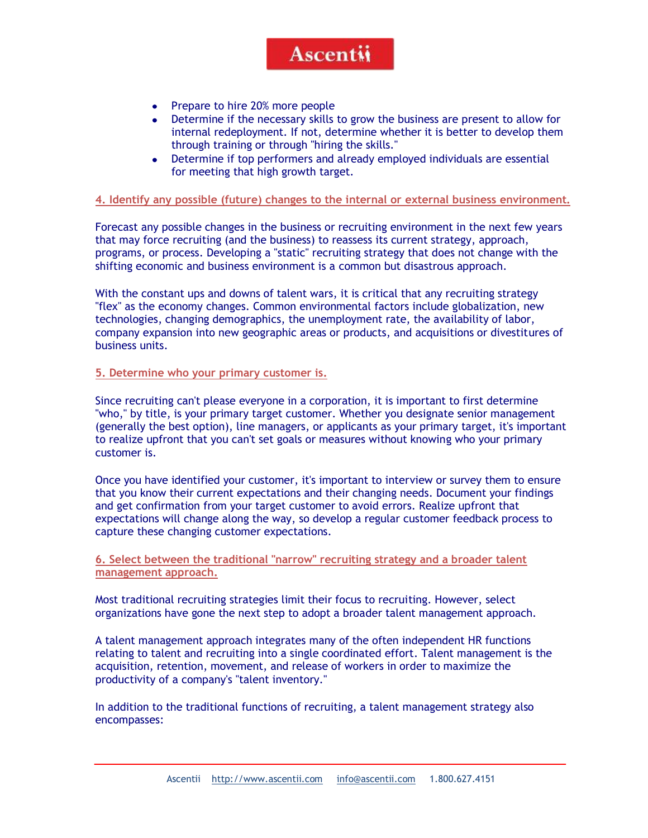- $\bullet$ Prepare to hire 20% more people
- Determine if the necessary skills to grow the business are present to allow for  $\bullet$ internal redeployment. If not, determine whether it is better to develop them through training or through "hiring the skills."
- Determine if top performers and already employed individuals are essential  $\bullet$ for meeting that high growth target.

#### **4. Identify any possible (future) changes to the internal or external business environment.**

Forecast any possible changes in the business or recruiting environment in the next few years that may force recruiting (and the business) to reassess its current strategy, approach, programs, or process. Developing a "static" recruiting strategy that does not change with the shifting economic and business environment is a common but disastrous approach.

With the constant ups and downs of talent wars, it is critical that any recruiting strategy "flex" as the economy changes. Common environmental factors include globalization, new technologies, changing demographics, the unemployment rate, the availability of labor, company expansion into new geographic areas or products, and acquisitions or divestitures of business units.

#### **5. Determine who your primary customer is.**

Since recruiting can't please everyone in a corporation, it is important to first determine "who," by title, is your primary target customer. Whether you designate senior management (generally the best option), line managers, or applicants as your primary target, it's important to realize upfront that you can't set goals or measures without knowing who your primary customer is.

Once you have identified your customer, it's important to interview or survey them to ensure that you know their current expectations and their changing needs. Document your findings and get confirmation from your target customer to avoid errors. Realize upfront that expectations will change along the way, so develop a regular customer feedback process to capture these changing customer expectations.

**6. Select between the traditional "narrow" recruiting strategy and a broader talent management approach.**

Most traditional recruiting strategies limit their focus to recruiting. However, select organizations have gone the next step to adopt a broader talent management approach.

A talent management approach integrates many of the often independent HR functions relating to talent and recruiting into a single coordinated effort. Talent management is the acquisition, retention, movement, and release of workers in order to maximize the productivity of a company's "talent inventory."

In addition to the traditional functions of recruiting, a talent management strategy also encompasses: